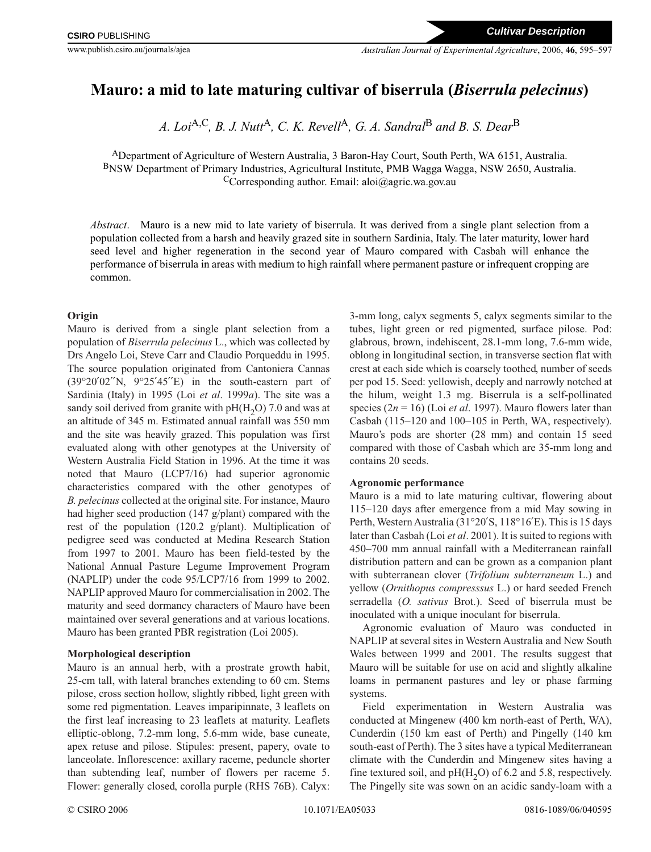# **Mauro: a mid to late maturing cultivar of biserrula (***Biserrula pelecinus***)**

*A. Loi*A,C*, B. J. Nutt*A*, C. K. Revell*A*, G. A. Sandral*<sup>B</sup> *and B. S. Dear*<sup>B</sup>

ADepartment of Agriculture of Western Australia, 3 Baron-Hay Court, South Perth, WA 6151, Australia. BNSW Department of Primary Industries, Agricultural Institute, PMB Wagga Wagga, NSW 2650, Australia. CCorresponding author. Email: aloi@agric.wa.gov.au

*Abstract*. Mauro is a new mid to late variety of biserrula. It was derived from a single plant selection from a population collected from a harsh and heavily grazed site in southern Sardinia, Italy. The later maturity, lower hard seed level and higher regeneration in the second year of Mauro compared with Casbah will enhance the performance of biserrula in areas with medium to high rainfall where permanent pasture or infrequent cropping are common.

## **Origin**

Mauro is derived from a single plant selection from a population of *Biserrula pelecinus* L., which was collected by Drs Angelo Loi, Steve Carr and Claudio Porqueddu in 1995. The source population originated from Cantoniera Cannas  $(39°20'02''N, 9°25'45''E)$  in the south-eastern part of Sardinia (Italy) in 1995 (Loi *et al*. 1999*a*). The site was a sandy soil derived from granite with  $pH(H_2O)$  7.0 and was at an altitude of 345 m. Estimated annual rainfall was 550 mm and the site was heavily grazed. This population was first evaluated along with other genotypes at the University of Western Australia Field Station in 1996. At the time it was noted that Mauro (LCP7/16) had superior agronomic characteristics compared with the other genotypes of *B. pelecinus* collected at the original site. For instance, Mauro had higher seed production (147 g/plant) compared with the rest of the population (120.2 g/plant). Multiplication of pedigree seed was conducted at Medina Research Station from 1997 to 2001. Mauro has been field-tested by the National Annual Pasture Legume Improvement Program (NAPLIP) under the code 95/LCP7/16 from 1999 to 2002. NAPLIP approved Mauro for commercialisation in 2002. The maturity and seed dormancy characters of Mauro have been maintained over several generations and at various locations. Mauro has been granted PBR registration (Loi 2005).

# **Morphological description**

Mauro is an annual herb, with a prostrate growth habit, 25-cm tall, with lateral branches extending to 60 cm. Stems pilose, cross section hollow, slightly ribbed, light green with some red pigmentation. Leaves imparipinnate, 3 leaflets on the first leaf increasing to 23 leaflets at maturity. Leaflets elliptic-oblong, 7.2-mm long, 5.6-mm wide, base cuneate, apex retuse and pilose. Stipules: present, papery, ovate to lanceolate. Inflorescence: axillary raceme, peduncle shorter than subtending leaf, number of flowers per raceme 5. Flower: generally closed, corolla purple (RHS 76B). Calyx:

3-mm long, calyx segments 5, calyx segments similar to the tubes, light green or red pigmented, surface pilose. Pod: glabrous, brown, indehiscent, 28.1-mm long, 7.6-mm wide, oblong in longitudinal section, in transverse section flat with crest at each side which is coarsely toothed, number of seeds per pod 15. Seed: yellowish, deeply and narrowly notched at the hilum, weight 1.3 mg. Biserrula is a self-pollinated species (2*n* = 16) (Loi *et al*. 1997). Mauro flowers later than Casbah (115–120 and 100–105 in Perth, WA, respectively). Mauro's pods are shorter (28 mm) and contain 15 seed compared with those of Casbah which are 35-mm long and contains 20 seeds.

# **Agronomic performance**

Mauro is a mid to late maturing cultivar, flowering about 115–120 days after emergence from a mid May sowing in Perth, Western Australia (31°20′S, 118°16′E). This is 15 days later than Casbah (Loi *et al*. 2001). It is suited to regions with 450–700 mm annual rainfall with a Mediterranean rainfall distribution pattern and can be grown as a companion plant with subterranean clover (*Trifolium subterraneum* L.) and yellow (*Ornithopus compresssus* L.) or hard seeded French serradella (*O. sativus* Brot.). Seed of biserrula must be inoculated with a unique inoculant for biserrula.

Agronomic evaluation of Mauro was conducted in NAPLIP at several sites in Western Australia and New South Wales between 1999 and 2001. The results suggest that Mauro will be suitable for use on acid and slightly alkaline loams in permanent pastures and ley or phase farming systems.

Field experimentation in Western Australia was conducted at Mingenew (400 km north-east of Perth, WA), Cunderdin (150 km east of Perth) and Pingelly (140 km south-east of Perth). The 3 sites have a typical Mediterranean climate with the Cunderdin and Mingenew sites having a fine textured soil, and  $pH(H<sub>2</sub>O)$  of 6.2 and 5.8, respectively. The Pingelly site was sown on an acidic sandy-loam with a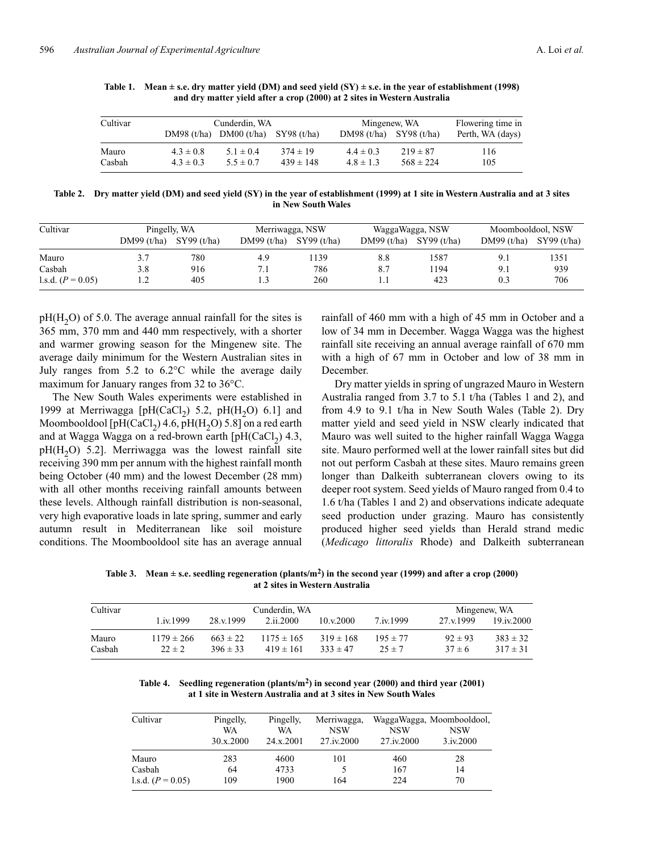| Cultivar |               | Cunderdin, WA                             |               |               | Mingenew, WA  |                  |
|----------|---------------|-------------------------------------------|---------------|---------------|---------------|------------------|
|          |               | DM98 $(t/ha)$ DM00 $(t/ha)$ SY98 $(t/ha)$ |               | DM98(t/ha)    | SY98(t/ha)    | Perth, WA (days) |
| Mauro    | $4.3 \pm 0.8$ | $5.1 \pm 0.4$                             | $374 \pm 19$  | $4.4 \pm 0.3$ | $219 \pm 87$  | 116              |
| Casbah   | $4.3 \pm 0.3$ | $5.5 \pm 0.7$                             | $439 \pm 148$ | $4.8 \pm 1.3$ | $568 \pm 224$ | 105              |

Table 1. Mean  $\pm$  s.e. dry matter yield (DM) and seed yield (SY)  $\pm$  s.e. in the year of establishment (1998) **and dry matter yield after a crop (2000) at 2 sites in Western Australia**

**Table 2. Dry matter yield (DM) and seed yield (SY) in the year of establishment (1999) at 1 site in Western Australia and at 3 sites in New South Wales**

| Cultivar            | Pingelly, WA |            | Merriwagga, NSW |            | WaggaWagga, NSW |            | Moombooldool, NSW |            |
|---------------------|--------------|------------|-----------------|------------|-----------------|------------|-------------------|------------|
|                     | DM99(t/ha)   | SY99(t/ha) | DM99(t/ha)      | SY99(t/ha) | DM99(t/ha)      | SY99(t/ha) | DM99(t/ha)        | SY99(t/ha) |
| Mauro               | 3.7          | 780        | 4.9             | 1139       | 8.8             | 1587       | 9.1               | 1351       |
| Casbah              | 3.8          | 916        |                 | 786        | 8.7             | 1194       | 9.1               | 939        |
| 1.s.d. $(P = 0.05)$ | .            | 405        | 1.3             | 260        | 1.1             | 423        | 0.3               | 706        |

 $pH(H<sub>2</sub>O)$  of 5.0. The average annual rainfall for the sites is 365 mm, 370 mm and 440 mm respectively, with a shorter and warmer growing season for the Mingenew site. The average daily minimum for the Western Australian sites in July ranges from 5.2 to 6.2°C while the average daily maximum for January ranges from 32 to 36°C.

The New South Wales experiments were established in 1999 at Merriwagga [pH(CaCl<sub>2</sub>) 5.2, pH(H<sub>2</sub>O) 6.1] and Moombooldool [pH(CaCl<sub>2</sub>) 4.6, pH(H<sub>2</sub>O) 5.8] on a red earth and at Wagga Wagga on a red-brown earth  $[pH(CaCl<sub>2</sub>) 4.3]$ ,  $pH(H<sub>2</sub>O)$  5.2]. Merriwagga was the lowest rainfall site receiving 390 mm per annum with the highest rainfall month being October (40 mm) and the lowest December (28 mm) with all other months receiving rainfall amounts between these levels. Although rainfall distribution is non-seasonal, very high evaporative loads in late spring, summer and early autumn result in Mediterranean like soil moisture conditions. The Moombooldool site has an average annual

rainfall of 460 mm with a high of 45 mm in October and a low of 34 mm in December. Wagga Wagga was the highest rainfall site receiving an annual average rainfall of 670 mm with a high of 67 mm in October and low of 38 mm in December.

Dry matter yields in spring of ungrazed Mauro in Western Australia ranged from 3.7 to 5.1 t/ha (Tables 1 and 2), and from 4.9 to 9.1 t/ha in New South Wales (Table 2). Dry matter yield and seed yield in NSW clearly indicated that Mauro was well suited to the higher rainfall Wagga Wagga site. Mauro performed well at the lower rainfall sites but did not out perform Casbah at these sites. Mauro remains green longer than Dalkeith subterranean clovers owing to its deeper root system. Seed yields of Mauro ranged from 0.4 to 1.6 t/ha (Tables 1 and 2) and observations indicate adequate seed production under grazing. Mauro has consistently produced higher seed yields than Herald strand medic (*Medicago littoralis* Rhode) and Dalkeith subterranean

Table 3. Mean  $\pm$  s.e. seedling regeneration (plants/m<sup>2</sup>) in the second year (1999) and after a crop (2000) **at 2 sites in Western Australia**

| Cultivar        |                              | Cunderdin, WA                |                                 |                               |                            |                           |                              |
|-----------------|------------------------------|------------------------------|---------------------------------|-------------------------------|----------------------------|---------------------------|------------------------------|
|                 | $1.1 \times 1999$            | 28 v 1999                    | 2.ii.2000                       | $10 \times 2000$              | $7 \text{ iv} 1999$        | 27.v.1999                 | 19.iv.2000                   |
| Mauro<br>Casbah | $1179 \pm 266$<br>$22 \pm 2$ | $663 \pm 22$<br>$396 \pm 33$ | $1175 \pm 165$<br>$419 \pm 161$ | $319 \pm 168$<br>$333 \pm 47$ | $195 \pm 77$<br>$25 \pm 7$ | $92 \pm 93$<br>$37 \pm 6$ | $383 \pm 32$<br>$317 \pm 31$ |

**Table 4. Seedling regeneration (plants/m2) in second year (2000) and third year (2001) at 1 site in Western Australia and at 3 sites in New South Wales**

| Cultivar            | Pingelly,<br>WA<br>30.x.2000 | Pingelly,<br>WA<br>24.x.2001 | Merriwagga,<br><b>NSW</b><br>27.iv.2000 | <b>NSW</b><br>27.iv.2000 | WaggaWagga, Moombooldool,<br><b>NSW</b><br>3.1v, 2000 |
|---------------------|------------------------------|------------------------------|-----------------------------------------|--------------------------|-------------------------------------------------------|
| Mauro               | 283                          | 4600                         | 101                                     | 460                      | 28                                                    |
| Casbah              | 64                           | 4733                         |                                         | 167                      | 14                                                    |
| 1.s.d. $(P = 0.05)$ | 109                          | 1900                         | 164                                     | 224                      | 70                                                    |